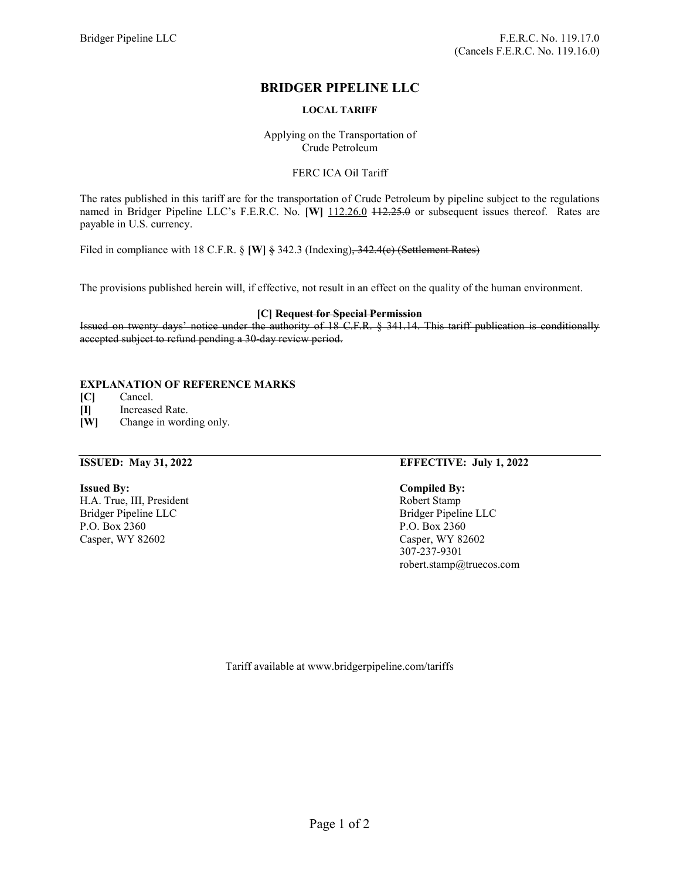# BRIDGER PIPELINE LLC

# LOCAL TARIFF

Applying on the Transportation of Crude Petroleum

### FERC ICA Oil Tariff

The rates published in this tariff are for the transportation of Crude Petroleum by pipeline subject to the regulations named in Bridger Pipeline LLC's F.E.R.C. No. [W] 112.26.0 + 12.25.0 or subsequent issues thereof. Rates are payable in U.S. currency.

Filed in compliance with 18 C.F.R. § [W] § 342.3 (Indexing), 342.4(c) (Settlement Rates)

The provisions published herein will, if effective, not result in an effect on the quality of the human environment.

### [C] Request for Special Permission

Issued on twenty days' notice under the authority of 18 C.F.R. § 341.14. This tariff publication is conditionally accepted subject to refund pending a 30-day review period.

# EXPLANATION OF REFERENCE MARKS

[C] Cancel.

[I] Increased Rate.

[W] Change in wording only.

H.A. True, III, President Robert Stamp Bridger Pipeline LLC Bridger Pipeline LLC P.O. Box 2360 P.O. Box 2360 Casper, WY 82602 Casper, WY 82602

### ISSUED: May 31, 2022 EFFECTIVE: July 1, 2022

### Issued By: Compiled By:

307-237-9301 robert.stamp@truecos.com

Tariff available at www.bridgerpipeline.com/tariffs